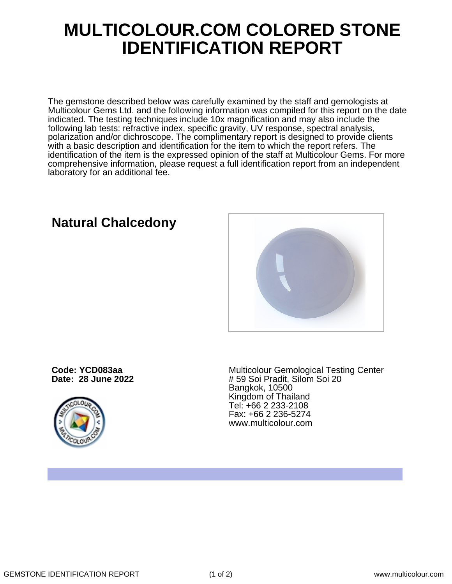## **MULTICOLOUR.COM COLORED STONE IDENTIFICATION REPORT**

The gemstone described below was carefully examined by the staff and gemologists at Multicolour Gems Ltd. and the following information was compiled for this report on the date indicated. The testing techniques include 10x magnification and may also include the following lab tests: refractive index, specific gravity, UV response, spectral analysis, polarization and/or dichroscope. The complimentary report is designed to provide clients with a basic description and identification for the item to which the report refers. The identification of the item is the expressed opinion of the staff at Multicolour Gems. For more comprehensive information, please request a full identification report from an independent laboratory for an additional fee.

**Code: YCD083aa**

**Date: 28 June 2022**



Multicolour Gemological Testing Center # 59 Soi Pradit, Silom Soi 20 Bangkok, 10500 Kingdom of Thailand Tel: +66 2 233-2108 Fax: +66 2 236-5274 www.multicolour.com

**Natural Chalcedony**